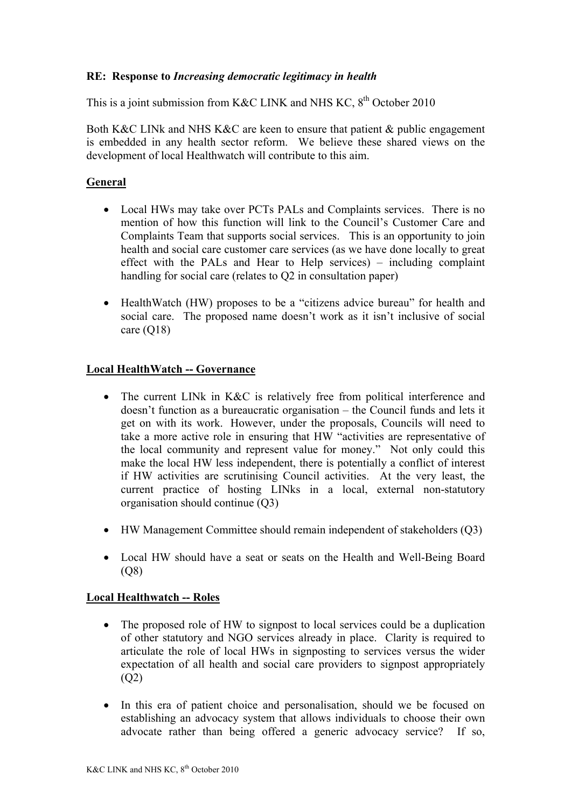# **RE: Response to** *Increasing democratic legitimacy in health*

This is a joint submission from K&C LINK and NHS KC,  $8^{th}$  October 2010

Both K&C LINk and NHS K&C are keen to ensure that patient & public engagement is embedded in any health sector reform. We believe these shared views on the development of local Healthwatch will contribute to this aim.

# **General**

- Local HWs may take over PCTs PALs and Complaints services. There is no mention of how this function will link to the Council's Customer Care and Complaints Team that supports social services. This is an opportunity to join health and social care customer care services (as we have done locally to great effect with the PALs and Hear to Help services) – including complaint handling for social care (relates to Q2 in consultation paper)
- HealthWatch (HW) proposes to be a "citizens advice bureau" for health and social care. The proposed name doesn't work as it isn't inclusive of social care (Q18)

### **Local HealthWatch -- Governance**

- The current LINk in K&C is relatively free from political interference and doesn't function as a bureaucratic organisation – the Council funds and lets it get on with its work. However, under the proposals, Councils will need to take a more active role in ensuring that HW "activities are representative of the local community and represent value for money." Not only could this make the local HW less independent, there is potentially a conflict of interest if HW activities are scrutinising Council activities. At the very least, the current practice of hosting LINks in a local, external non-statutory organisation should continue (Q3)
- HW Management Committee should remain independent of stakeholders (Q3)
- Local HW should have a seat or seats on the Health and Well-Being Board (Q8)

### **Local Healthwatch -- Roles**

- The proposed role of HW to signpost to local services could be a duplication of other statutory and NGO services already in place. Clarity is required to articulate the role of local HWs in signposting to services versus the wider expectation of all health and social care providers to signpost appropriately  $(O2)$
- In this era of patient choice and personalisation, should we be focused on establishing an advocacy system that allows individuals to choose their own advocate rather than being offered a generic advocacy service? If so,